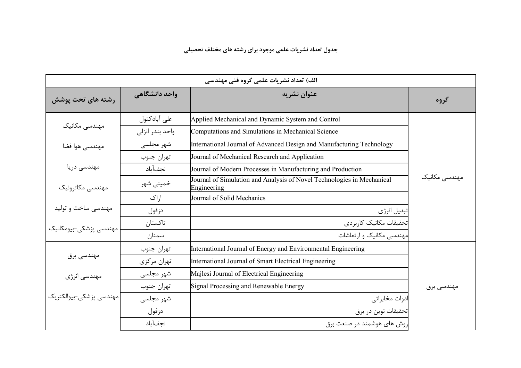|                         |                 | الف) تعداد نشريات علمي گروه فني مهندسي                                                |               |
|-------------------------|-----------------|---------------------------------------------------------------------------------------|---------------|
| رشته های تحت پوشش       | واحد دانشگاهی   | عنوان نشريه                                                                           | گروه          |
|                         | على آبادكتول    | Applied Mechanical and Dynamic System and Control                                     |               |
| مهندسی مکانیک           | واحد بندر انزلى | Computations and Simulations in Mechanical Science                                    |               |
| مهندسی هوا فضا          | شهر مجلسی       | International Journal of Advanced Design and Manufacturing Technology                 |               |
|                         | تهران جنوب      | Journal of Mechanical Research and Application                                        |               |
| مهندسی دریا             | نجفآباد         | Journal of Modern Processes in Manufacturing and Production                           |               |
| مهندسي مكاترونيك        | خمینی شهر       | Journal of Simulation and Analysis of Novel Technologies in Mechanical<br>Engineering | مهندسی مکانیک |
|                         | ا,اک            | Journal of Solid Mechanics                                                            |               |
| مهندسی ساخت و تولید     | دزفول           | تبديل انرژى                                                                           |               |
| مهندسی پزشکی-بیومکانیک  | تاكستان         | تحقيقات مكانيك كاربردى                                                                |               |
|                         | سمنان           | مهندسی مکانیک و ارتعاشات                                                              |               |
|                         | تهران جنوب      | International Journal of Energy and Environmental Engineering                         |               |
| مهندسی برق              | تهران مركزي     | International Journal of Smart Electrical Engineering                                 |               |
| مهندسی انرژی            | شهر مجلسی       | Majlesi Journal of Electrical Engineering                                             |               |
|                         | تهران جنوب      | Signal Processing and Renewable Energy                                                | مهندسی برق    |
| مهندسي پزشكي–بيوالكتريك | شهر مجلسی       | ادوات مخابراتي                                                                        |               |
|                         | دزفول           | تحقيقات نوين در برق                                                                   |               |
|                         | نجفآباد         | روش های هوشمند در صنعت برق                                                            |               |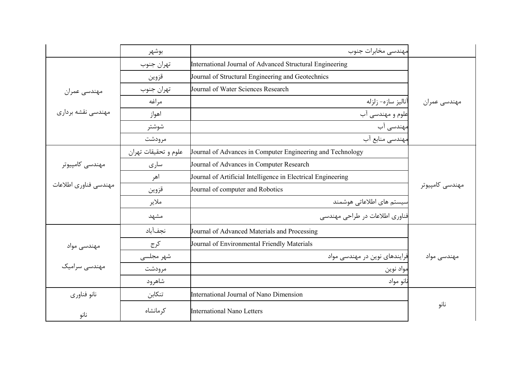|                       | بوشهر                | مهندسي مخابرات جنوب                                          |                 |
|-----------------------|----------------------|--------------------------------------------------------------|-----------------|
|                       | تهران جنوب           | International Journal of Advanced Structural Engineering     |                 |
|                       | قزوين                | Journal of Structural Engineering and Geotechnics            |                 |
| مهندسي عمران          | تهران جنوب           | Journal of Water Sciences Research                           |                 |
|                       | مراغه                | آناليز سازه- زلزله                                           | مهندسي عمران    |
| مهندسی نقشه برداری    | اهواز                | علوم و مهندسی آب                                             |                 |
|                       | شوشتر                | مهندسی آب                                                    |                 |
|                       | مرودشت               | مهندسی منابع آب                                              |                 |
|                       | علوم و تحقيقات تهران | Journal of Advances in Computer Engineering and Technology   |                 |
| مهندسی کامپیوتر       | سارى                 | Journal of Advances in Computer Research                     |                 |
|                       | اهر                  | Journal of Artificial Intelligence in Electrical Engineering |                 |
| مهندسي فناوري اطلاعات | قزوين                | Journal of computer and Robotics                             | مهندسی کامپیوتر |
|                       | ملاير                | سیستم های اطلاعاتی هوشمند                                    |                 |
|                       | مشهد                 | فناوری اطلاعات در طراحی مهندسی                               |                 |
|                       | نجفآباد              | Journal of Advanced Materials and Processing                 |                 |
| مهندسی مواد           | كرج                  | Journal of Environmental Friendly Materials                  |                 |
|                       | شهر مجلسی            | فرایندهای نوین در مهندسی مواد                                | مهندسی مواد     |
| مهندسی سرامیک         | مرودشت               | مواد نوين                                                    |                 |
|                       | شاهرود               | نانو مواد                                                    |                 |
| نانو فناورى           | تنكابن               | International Journal of Nano Dimension                      |                 |
| نانو                  | کر مانشاه            | <b>International Nano Letters</b>                            | نانو            |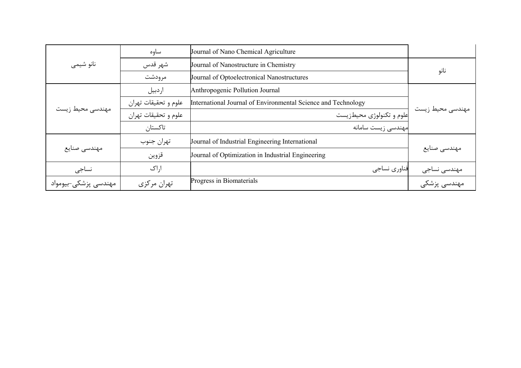|                      | ساوه                 | Journal of Nano Chemical Agriculture                          |                  |
|----------------------|----------------------|---------------------------------------------------------------|------------------|
| نانو شيمي            | شهر قدس              | Journal of Nanostructure in Chemistry                         |                  |
|                      | مرودشت               | Journal of Optoelectronical Nanostructures                    | نانو             |
|                      | ار دبيل              | Anthropogenic Pollution Journal                               |                  |
|                      | علوم و تحقیقات تهران | International Journal of Environmental Science and Technology |                  |
| مهندسی محیط زیست     | علوم و تحقيقات تهران | علوم و تکنولوژی محیطزیست                                      | مهندسی محیط زیست |
|                      | تاكستان              | مهندسی زیست سامانه                                            |                  |
|                      | تهران جنوب           | Journal of Industrial Engineering International               |                  |
| مهندسي صنايع         | قزوين                | Journal of Optimization in Industrial Engineering             | مهندسي صنايع     |
| نساجى                | ا,اک                 | فناوري نساجي                                                  | مهندسی نساجی     |
| مهندسی پزشکی–بیومواد | تهران مركزي          | Progress in Biomaterials                                      | مهندسی پزشکی     |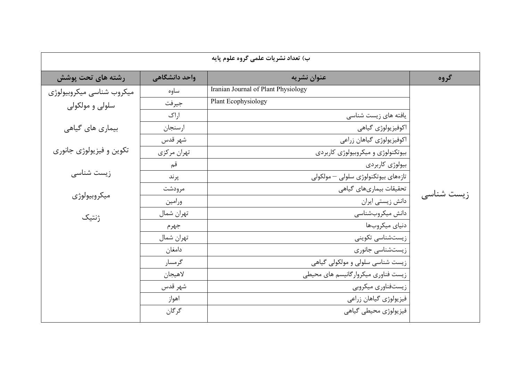|                           |               | ب) تعداد نشريات علمي گروه علوم پايه |            |
|---------------------------|---------------|-------------------------------------|------------|
| رشته های تحت پوشش         | واحد دانشگاهی | عنوان نشريه                         | گروه       |
| ميكروب شناسي ميكروبيولوژي | ساوه          | Iranian Journal of Plant Physiology |            |
| سلولی و مولکولی           | جيرفت         | Plant Ecophysiology                 |            |
|                           | اراک          | یافته های زیست شناسی                |            |
| بیماری های گیاهی          | ارسنجان       | اكوفيزيولوژي گياهي                  |            |
|                           | شهر قدس       | اكوفيزيولوژي گياهان زراعي           |            |
| تکوين و فيزيولوژي جانوري  | تهران مركزي   | بیوتکنولوژی و میکروبیولوژی کاربردی  |            |
|                           | قم            | بيولوژي كاربردي                     |            |
| زیست شناسی                | پرند          | تازەھاي بيوتكنولوژى سلولى – مولكولى |            |
| ميكروبيولوژي              | مرودشت        | تحقیقات بیماریهای گیاهی             | زیست شناسی |
|                           | ورامين        | دانش زیستی ایران                    |            |
| ژنتیک                     | تهران شمال    | دانش ميكروبشناسي                    |            |
|                           | جهرم          | دنياي ميكروبها                      |            |
|                           | تهران شمال    | زیستشناسی تکوینی                    |            |
|                           | دامغان        | زیستشناسی جانوری                    |            |
|                           | گرمسار        | زیست شناسی سلولی و مولکولی گیاهی    |            |
|                           | لاهيجان       | زیست فناوری میکروارگانیسم های محیطی |            |
|                           | شهر قدس       | زیستفناوری میکروبی                  |            |
|                           | اهواز         | فيزيولوژي گياهان زراعي              |            |
|                           | گرگان         | فيزيولوژي محيطي گياهي               |            |
|                           |               |                                     |            |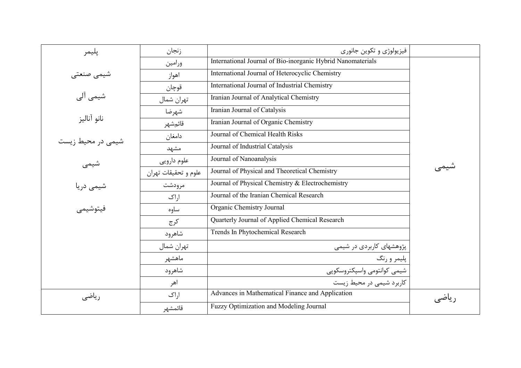| پليمر             | زنجان                | فيزيولوژي و تکوين جانوري                                    |        |
|-------------------|----------------------|-------------------------------------------------------------|--------|
|                   | ورامين               | International Journal of Bio-inorganic Hybrid Nanomaterials |        |
| شیمی صنعتی        | اهواز                | International Journal of Heterocyclic Chemistry             |        |
|                   | قوچان                | International Journal of Industrial Chemistry               |        |
| شیمی آلی          | تهران شمال           | Iranian Journal of Analytical Chemistry                     |        |
|                   | شهرضا                | Iranian Journal of Catalysis                                |        |
| نانو آناليز       | قائمشهر              | Iranian Journal of Organic Chemistry                        |        |
|                   | دامغان               | Journal of Chemical Health Risks                            |        |
| شیمی در محیط زیست | مشهد                 | Journal of Industrial Catalysis                             |        |
| شیمی              | علوم دارويي          | Journal of Nanoanalysis                                     |        |
|                   | علوم و تحقيقات تهران | Journal of Physical and Theoretical Chemistry               |        |
| شیمی دریا         | مرودشت               | Journal of Physical Chemistry & Electrochemistry            |        |
|                   | اراک                 | Journal of the Iranian Chemical Research                    |        |
| فيتوشيمي          | ساوه                 | Organic Chemistry Journal                                   |        |
|                   | كرج                  | Quarterly Journal of Applied Chemical Research              |        |
|                   | شاهرود               | Trends In Phytochemical Research                            |        |
|                   | تهران شمال           | پژوهشهای کاربردی در شیمی                                    |        |
|                   | ماهشهر               | پليمر و رنگ                                                 |        |
|                   | شاهرود               | شيمى كوانتومى واسپكتروسكوپى                                 |        |
|                   | اهر                  | کاربرد شیمی در محیط زیست                                    |        |
| رياضى             | اراک                 | Advances in Mathematical Finance and Application            | یاضے ٖ |
|                   | قائمشهر              | Fuzzy Optimization and Modeling Journal                     |        |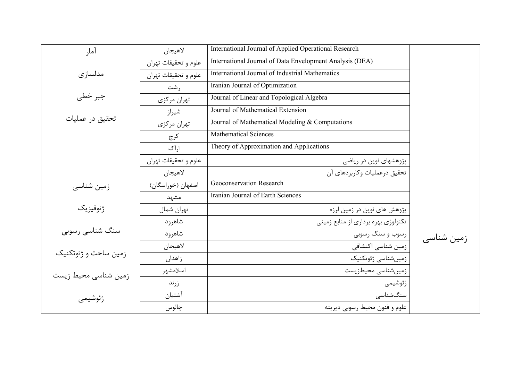| آمار                 | لاهيجان              | International Journal of Applied Operational Research    |            |
|----------------------|----------------------|----------------------------------------------------------|------------|
|                      | علوم و تحقیقات تهران | International Journal of Data Envelopment Analysis (DEA) |            |
| مدلسازى              | علوم و تحقيقات تهران | <b>International Journal of Industrial Mathematics</b>   |            |
|                      | رشت                  | Iranian Journal of Optimization                          |            |
| جبر خطی              | تهران مركزي          | Journal of Linear and Topological Algebra                |            |
|                      | شيراز                | Journal of Mathematical Extension                        |            |
| تحقيق در عمليات      | تهران مركزي          | Journal of Mathematical Modeling & Computations          |            |
|                      | كرج                  | <b>Mathematical Sciences</b>                             |            |
|                      | اراک                 | Theory of Approximation and Applications                 |            |
|                      | علوم و تحقیقات تهران | پژوهشهای نوین در ریاضی                                   |            |
|                      | لاهيجان              | تحقیق درعملیات وکاربردهای آن                             |            |
| زمین شناسی           | اصفهان (خوراسگان)    | Geoconservation Research                                 |            |
|                      | مشهد                 | Iranian Journal of Earth Sciences                        |            |
| ژئوفيزيک             | تهران شمال           | پژوهش های نوین در زمین لرزه                              |            |
|                      | شاهرود               | تکنولوژی بهره برداری از منابع زمینی                      |            |
| سنگ شناسی رسوبی      | شاهرود               | رسوب و سنگ رسوبی                                         | زمین شناسی |
|                      | لاهيجان              | زمین شناسی اکتشافی                                       |            |
| زمین ساخت و ژئوتکنیک | زاهدان               | زمينشناسي ژئوتكنيك                                       |            |
| زمین شناسی محیط زیست | اسلامشهر             | زمینشناسی محیطزیست                                       |            |
|                      | زرند                 | ژئوشيمى                                                  |            |
| ژئوشيمى              | آشتيان               | سنگشناسى                                                 |            |
|                      | چالوس                | علوم و فنون محيط رسوبي ديرينه                            |            |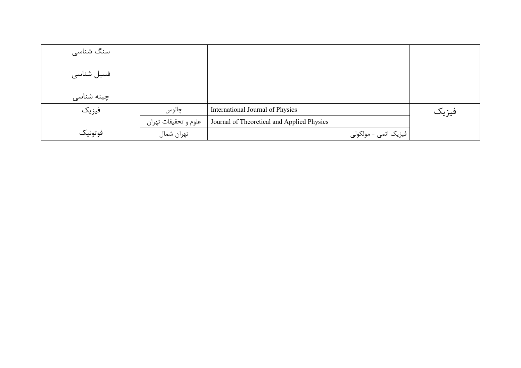| سنگ شناسی  |                      |                                            |       |
|------------|----------------------|--------------------------------------------|-------|
| فسیل شناسی |                      |                                            |       |
| چینه شناسی |                      |                                            |       |
| فيزيك      | چالوس                | International Journal of Physics           | فيزيك |
|            | علوم و تحقيقات تهران | Journal of Theoretical and Applied Physics |       |
| فوتونيك    | تهران شمال           | فیزیک اتمی - مولکولی                       |       |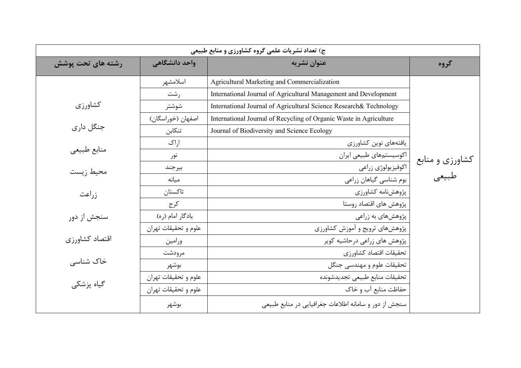| ج) تعداد نشریات علمی گروه کشاورزی و منابع طبیعی |                      |                                                                    |                 |
|-------------------------------------------------|----------------------|--------------------------------------------------------------------|-----------------|
| رشته های تحت پوشش                               | واحد دانشگاهی        | عنوان نشريه                                                        | گروه            |
|                                                 | اسلامشهر             | Agricultural Marketing and Commercialization                       |                 |
|                                                 | رشت                  | International Journal of Agricultural Management and Development   |                 |
| كشاورزي                                         | شوشتر                | International Journal of Agricultural Science Research& Technology |                 |
|                                                 | اصفهان (خوراسگان)    | International Journal of Recycling of Organic Waste in Agriculture |                 |
| جنگل داری                                       | تنكابن               | Journal of Biodiversity and Science Ecology                        |                 |
|                                                 | اراک                 | يافتههاى نوين كشاورزى                                              |                 |
| منابع طبيعي                                     | نور                  | اکوسیستمهای طبیعی ایران                                            | کشاورزی و منابع |
| محيط زيست                                       | بيرجند               | اكوفيزيولوژي زراعي                                                 |                 |
|                                                 | ميانه                | بوم شناسی گیاهان زراعی                                             | طبيعي           |
| زراعت                                           | تاكستان              | پژوهشنامه کشاورزی                                                  |                 |
|                                                 | كرج                  | پژوهش های اقتصاد روستا                                             |                 |
| سنجش از دور                                     | يادگار امام (ره)     | پژوهشهای به زراعی                                                  |                 |
|                                                 | علوم و تحقیقات تهران | پژوهشهای ترویج و آموزش کشاورزی                                     |                 |
| اقتصاد كشاورزى                                  | ورامين               | پژوهش های زراعی درحاشیه کویر                                       |                 |
|                                                 | مرودشت               | تحقيقات اقتصاد كشاورزي                                             |                 |
| خاک شناسی                                       | بوشهر                | تحقيقات علوم و مهندسي جنگل                                         |                 |
|                                                 | علوم و تحقیقات تهران | تحقيقات منابع طبيعي تجديدشونده                                     |                 |
| گیاه پزشکی                                      | علوم و تحقيقات تهران | حفاظت منابع آب و خاک                                               |                 |
|                                                 | بوشهر                | سنجش از دور و سامانه اطلاعات جغرافیایی در منابع طبیعی              |                 |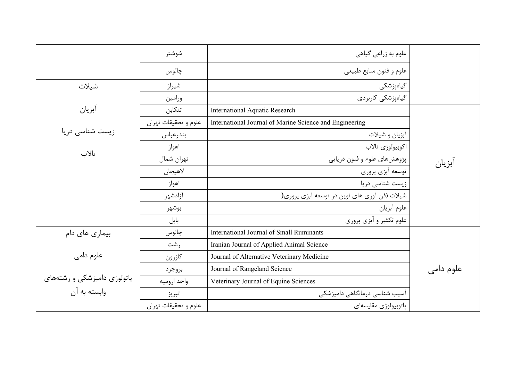|                             | شوشتر                | علوم به زراعی گیاهی                                     |           |
|-----------------------------|----------------------|---------------------------------------------------------|-----------|
|                             | چالوس                | علوم و فنون منابع طبيعي                                 |           |
| شيلات                       | شيراز                | گیاەپزشكى                                               |           |
|                             | ورامين               | گیاهپزشکی کاربردی                                       |           |
| آبزيان                      | تنكابن               | <b>International Aquatic Research</b>                   |           |
|                             | علوم و تحقیقات تهران | International Journal of Marine Science and Engineering |           |
| زیست شناسی دریا             | بندرعباس             | آبزيان و شيلات                                          |           |
|                             | اهواز                | اكوبيولوژي تالاب                                        |           |
| تالاب                       | تهران شمال           | پژوهشهای علوم و فنون دریایی                             | ابزيان    |
|                             | لاهيجان              | توسعه أبزي پروري                                        |           |
|                             | اهواز                | زیست شناسی دریا                                         |           |
|                             | آزادشهر              | شیلات (فن آوری های نوین در توسعه آبزی پروری(            |           |
|                             | بوشهر                | علوم آبزيان                                             |           |
|                             | بابل                 | علوم تکثیر و آبزی پروری                                 |           |
| بیماری های دام              | چالوس                | International Journal of Small Ruminants                |           |
|                             | , شت                 | Iranian Journal of Applied Animal Science               |           |
| علوم دامی                   | كازرون               | Journal of Alternative Veterinary Medicine              |           |
|                             | بروجرد               | Journal of Rangeland Science                            | علوم دامی |
| پاتولوژی دامپزشکی و رشتههای | واحد اروميه          | Veterinary Journal of Equine Sciences                   |           |
| وابسته به آن                | تبريز                | آسیب شناسی درمانگاهی دامپزشکی                           |           |
|                             | علوم و تحقيقات تهران | پاتوبيولوژي مقايسهاي                                    |           |